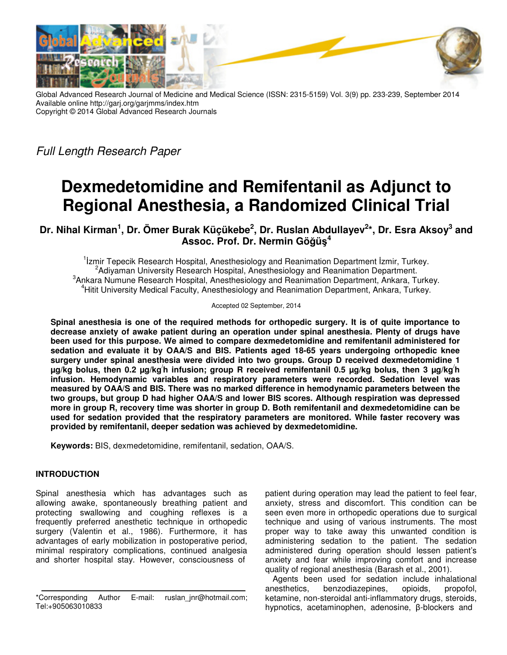

Global Advanced Research Journal of Medicine and Medical Science (ISSN: 2315-5159) Vol. 3(9) pp. 233-239, September 2014 Available online http://garj.org/garjmms/index.htm Copyright © 2014 Global Advanced Research Journals

Full Length Research Paper

# **Dexmedetomidine and Remifentanil as Adjunct to Regional Anesthesia, a Randomized Clinical Trial**

**Dr. Nihal Kirman<sup>1</sup> , Dr. Ömer Burak Küçükebe<sup>2</sup> , Dr. Ruslan Abdullayev<sup>2</sup> \*, Dr. Esra Aksoy<sup>3</sup> and Assoc. Prof. Dr. Nermin Göğüş 4**

<sup>1</sup> Izmir Tepecik Research Hospital, Anesthesiology and Reanimation Department Izmir, Turkey. <sup>2</sup> Adiyaman University Research Hospital, Anesthesiology and Reanimation Department. <sup>3</sup> Ankara Numune Research Hospital, Anesthesiology and Reanimation Department, Ankara, Turkey. <sup>4</sup>Hitit University Medical Faculty, Anesthesiology and Reanimation Department, Ankara, Turkey.

Accepted 02 September, 2014

**Spinal anesthesia is one of the required methods for orthopedic surgery. It is of quite importance to decrease anxiety of awake patient during an operation under spinal anesthesia. Plenty of drugs have been used for this purpose. We aimed to compare dexmedetomidine and remifentanil administered for sedation and evaluate it by OAA/S and BIS. Patients aged 18-65 years undergoing orthopedic knee surgery under spinal anesthesia were divided into two groups. Group D received dexmedetomidine 1 µg/kg bolus, then 0.2 µg/kg/ h infusion; group R received remifentanil 0.5 µg/kg bolus, then 3 µg/kg/ h infusion. Hemodynamic variables and respiratory parameters were recorded. Sedation level was measured by OAA/S and BIS. There was no marked difference in hemodynamic parameters between the two groups, but group D had higher OAA/S and lower BIS scores. Although respiration was depressed more in group R, recovery time was shorter in group D. Both remifentanil and dexmedetomidine can be used for sedation provided that the respiratory parameters are monitored. While faster recovery was provided by remifentanil, deeper sedation was achieved by dexmedetomidine.** 

**Keywords:** BIS, dexmedetomidine, remifentanil, sedation, OAA/S.

# **INTRODUCTION**

Spinal anesthesia which has advantages such as allowing awake, spontaneously breathing patient and protecting swallowing and coughing reflexes is a frequently preferred anesthetic technique in orthopedic surgery (Valentin et al., 1986). Furthermore, it has advantages of early mobilization in postoperative period, minimal respiratory complications, continued analgesia and shorter hospital stay. However, consciousness of

patient during operation may lead the patient to feel fear, anxiety, stress and discomfort. This condition can be seen even more in orthopedic operations due to surgical technique and using of various instruments. The most proper way to take away this unwanted condition is administering sedation to the patient. The sedation administered during operation should lessen patient's anxiety and fear while improving comfort and increase quality of regional anesthesia (Barash et al., 2001).

Agents been used for sedation include inhalational anesthetics, benzodiazepines, opioids, propofol, ketamine, non-steroidal anti-inflammatory drugs, steroids, hypnotics, acetaminophen, adenosine, β-blockers and

<sup>\*</sup>Corresponding Author E-mail: ruslan\_jnr@hotmail.com; Tel:+905063010833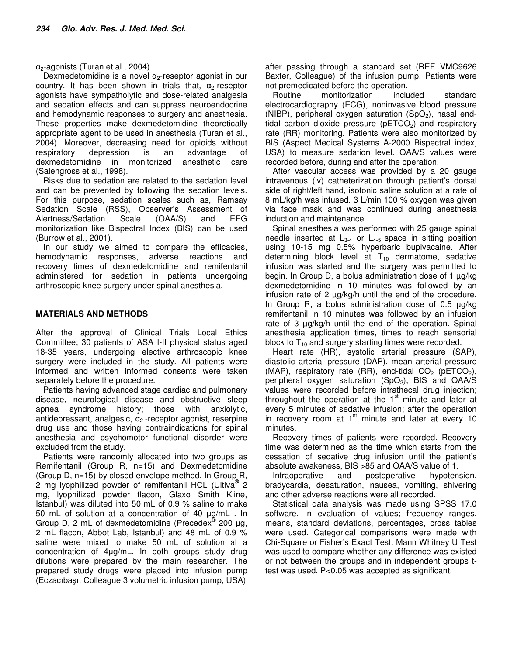$\alpha$ <sub>2</sub>-agonists (Turan et al., 2004).

Dexmedetomidine is a novel  $\alpha_{2}$ -reseptor agonist in our country. It has been shown in trials that,  $\alpha$ -reseptor agonists have sympatholytic and dose-related analgesia and sedation effects and can suppress neuroendocrine and hemodynamic responses to surgery and anesthesia. These properties make dexmedetomidine theoretically appropriate agent to be used in anesthesia (Turan et al., 2004). Moreover, decreasing need for opioids without respiratory depression is an advantage of dexmedetomidine in monitorized anesthetic care (Salengross et al., 1998).

Risks due to sedation are related to the sedation level and can be prevented by following the sedation levels. For this purpose, sedation scales such as, Ramsay Sedation Scale (RSS), Observer's Assessment of Alertness/Sedation Scale (OAA/S) and EEG monitorization like Bispectral Index (BIS) can be used (Burrow et al., 2001).

In our study we aimed to compare the efficacies, hemodynamic responses, adverse reactions and recovery times of dexmedetomidine and remifentanil administered for sedation in patients undergoing arthroscopic knee surgery under spinal anesthesia.

# **MATERIALS AND METHODS**

After the approval of Clinical Trials Local Ethics Committee; 30 patients of ASA I-II physical status aged 18-35 years, undergoing elective arthroscopic knee surgery were included in the study. All patients were informed and written informed consents were taken separately before the procedure.

Patients having advanced stage cardiac and pulmonary disease, neurological disease and obstructive sleep apnea syndrome history; those with anxiolytic, antidepressant, analgesic,  $\alpha_2$ -receptor agonist, reserpine drug use and those having contraindications for spinal anesthesia and psychomotor functional disorder were excluded from the study.

Patients were randomly allocated into two groups as Remifentanil (Group R, n=15) and Dexmedetomidine (Group D, n=15) by closed envelope method. In Group R, 2 mg lyophilized powder of remifentanil HCL (Ultiva® 2 mg, lyophilized powder flacon, Glaxo Smith Kline, Istanbul) was diluted into 50 mL of 0.9 % saline to make 50 mL of solution at a concentration of 40 µg/mL . In Group D, 2 mL of dexmedetomidine (Precedex® 200 µg, 2 mL flacon, Abbot Lab, Istanbul) and 48 mL of 0.9 % saline were mixed to make 50 mL of solution at a concentration of 4µg/mL. In both groups study drug dilutions were prepared by the main researcher. The prepared study drugs were placed into infusion pump (Eczacıbaşı, Colleague 3 volumetric infusion pump, USA)

after passing through a standard set (REF VMC9626 Baxter, Colleague) of the infusion pump. Patients were not premedicated before the operation.

Routine monitorization included standard electrocardiography (ECG), noninvasive blood pressure (NIBP), peripheral oxygen saturation  $(SpO<sub>2</sub>)$ , nasal endtidal carbon dioxide pressure ( $pETCO<sub>2</sub>$ ) and respiratory rate (RR) monitoring. Patients were also monitorized by BIS (Aspect Medical Systems A-2000 Bispectral index, USA) to measure sedation level. OAA/S values were recorded before, during and after the operation.

After vascular access was provided by a 20 gauge intravenous (iv) catheterization through patient's dorsal side of right/left hand, isotonic saline solution at a rate of 8 mL/kg/h was infused. 3 L/min 100 % oxygen was given via face mask and was continued during anesthesia induction and maintenance.

Spinal anesthesia was performed with 25 gauge spinal needle inserted at  $L_{3-4}$  or  $L_{4-5}$  space in sitting position using 10-15 mg 0.5% hyperbaric bupivacaine. After determining block level at  $T_{10}$  dermatome, sedative infusion was started and the surgery was permitted to begin. In Group D, a bolus administration dose of 1 µg/kg dexmedetomidine in 10 minutes was followed by an infusion rate of 2 µg/kg/h until the end of the procedure. In Group R, a bolus administration dose of 0.5 µg/kg remifentanil in 10 minutes was followed by an infusion rate of 3 µg/kg/h until the end of the operation. Spinal anesthesia application times, times to reach sensorial block to  $T_{10}$  and surgery starting times were recorded.

Heart rate (HR), systolic arterial pressure (SAP), diastolic arterial pressure (DAP), mean arterial pressure (MAP), respiratory rate (RR), end-tidal  $CO<sub>2</sub>$  (pETCO<sub>2</sub>), peripheral oxygen saturation  $(SpO<sub>2</sub>)$ , BIS and OAA/S values were recorded before intrathecal drug injection; throughout the operation at the  $1<sup>st</sup>$  minute and later at every 5 minutes of sedative infusion; after the operation in recovery room at  $1<sup>st</sup>$  minute and later at every 10 minutes.

Recovery times of patients were recorded. Recovery time was determined as the time which starts from the cessation of sedative drug infusion until the patient's absolute awakeness, BIS >85 and OAA/S value of 1.

Intraoperative and postoperative hypotension, bradycardia, desaturation, nausea, vomiting, shivering and other adverse reactions were all recorded.

Statistical data analysis was made using SPSS 17.0 software. In evaluation of values; frequency ranges, means, standard deviations, percentages, cross tables were used. Categorical comparisons were made with Chi-Square or Fisher's Exact Test. Mann Whitney U Test was used to compare whether any difference was existed or not between the groups and in independent groups ttest was used. P<0.05 was accepted as significant.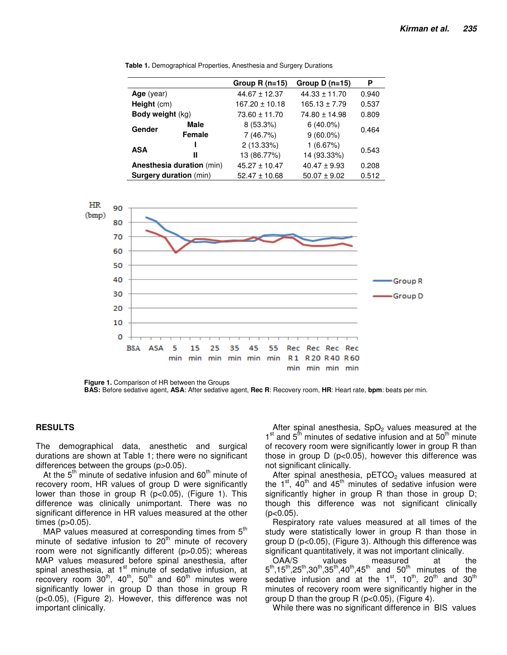|                               |        | Group $R(n=15)$    | Group $D(n=15)$   | Ρ     |
|-------------------------------|--------|--------------------|-------------------|-------|
| Age (year)                    |        | $44.67 \pm 12.37$  | $44.33 \pm 11.70$ | 0.940 |
| Height $(cm)$                 |        | $167.20 \pm 10.18$ | $165.13 \pm 7.79$ | 0.537 |
| <b>Body weight (kg)</b>       |        | $73.60 \pm 11.70$  | $74.80 \pm 14.98$ | 0.809 |
| Gender                        | Male   | $8(53.3\%)$        | $6(40.0\%)$       | 0.464 |
|                               | Female | 7(46.7%)           | $9(60.0\%)$       |       |
| <b>ASA</b>                    |        | 2 (13.33%)         | 1(6.67%)          | 0.543 |
|                               | Ш      | 13 (86.77%)        | 14 (93.33%)       |       |
| Anesthesia duration (min)     |        | $45.27 \pm 10.47$  | $40.47 \pm 9.93$  | 0.208 |
| <b>Surgery duration (min)</b> |        | $52.47 \pm 10.68$  | $50.07 \pm 9.02$  | 0.512 |

**Table 1.** Demographical Properties, Anesthesia and Surgery Durations



**Figure 1.** Comparison of HR between the Groups

### **RESULTS**

The demographical data, anesthetic and surgical durations are shown at Table 1; there were no significant differences between the groups (p>0.05).

At the  $5<sup>th</sup>$  minute of sedative infusion and  $60<sup>th</sup>$  minute of recovery room, HR values of group D were significantly lower than those in group R (p<0.05), (Figure 1). This difference was clinically unimportant. There was no significant difference in HR values measured at the other times (p>0.05).

MAP values measured at corresponding times from  $5<sup>th</sup>$ minute of sedative infusion to  $20<sup>th</sup>$  minute of recovery room were not significantly different (p>0.05); whereas MAP values measured before spinal anesthesia, after spinal anesthesia, at  $1<sup>st</sup>$  minute of sedative infusion, at recovery room  $30<sup>th</sup>$ ,  $40<sup>th</sup>$ ,  $50<sup>th</sup>$  and  $60<sup>th</sup>$  minutes were significantly lower in group D than those in group R (p<0.05), (Figure 2). However, this difference was not important clinically.

After spinal anesthesia,  $SpO<sub>2</sub>$  values measured at the 1<sup>st</sup> and 5<sup>th</sup> minutes of sedative infusion and at 50<sup>th</sup> minute of recovery room were significantly lower in group R than those in group D (p<0.05), however this difference was not significant clinically.

After spinal anesthesia,  $pETCO<sub>2</sub>$  values measured at the  $1<sup>st</sup>$ , 40<sup>th</sup> and 45<sup>th</sup> minutes of sedative infusion were significantly higher in group R than those in group D; though this difference was not significant clinically  $(p<0.05)$ .

Respiratory rate values measured at all times of the study were statistically lower in group R than those in group D (p<0.05), (Figure 3). Although this difference was significant quantitatively, it was not important clinically.

OAA/S values measured at the  $5^{th}$ ,15<sup>th</sup>,25<sup>th</sup>,30<sup>th</sup>,35<sup>th</sup>,40<sup>th</sup>,45<sup>th</sup> and 50<sup>th</sup> minutes of the sedative infusion and at the  $1<sup>st</sup>$ ,  $10<sup>th</sup>$ ,  $20<sup>th</sup>$  and  $30<sup>th</sup>$ minutes of recovery room were significantly higher in the group D than the group R (p<0.05), (Figure 4).

While there was no significant difference in BIS values

**BAS:** Before sedative agent, **ASA**: After sedative agent, **Rec R**: Recovery room, **HR**: Heart rate, **bpm**: beats per min.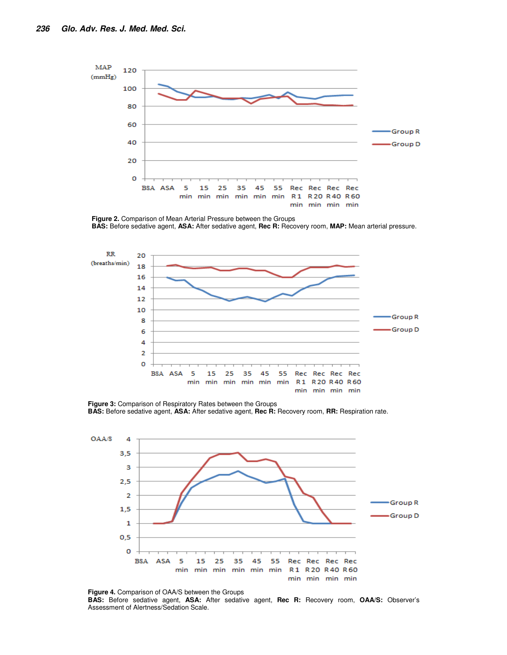

**Figure 2.** Comparison of Mean Arterial Pressure between the Groups **BAS:** Before sedative agent, **ASA:** After sedative agent, **Rec R:** Recovery room, **MAP:** Mean arterial pressure.



**Figure 3:** Comparison of Respiratory Rates between the Groups **BAS:** Before sedative agent, **ASA:** After sedative agent, **Rec R:** Recovery room, **RR:** Respiration rate.



**Figure 4.** Comparison of OAA/S between the Groups **BAS:** Before sedative agent, **ASA:** After sedative agent, **Rec R:** Recovery room, **OAA/S:** Observer's Assessment of Alertness/Sedation Scale.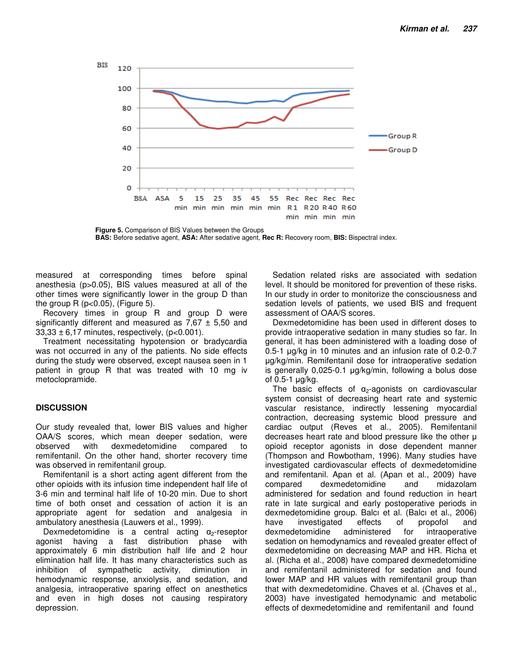

**Figure 5.** Comparison of BIS Values between the Groups **BAS:** Before sedative agent, **ASA:** After sedative agent, **Rec R:** Recovery room, **BIS:** Bispectral index.

measured at corresponding times before spinal anesthesia (p>0.05), BIS values measured at all of the other times were significantly lower in the group D than the group  $R$  (p $<$ 0.05), (Figure 5).

Recovery times in group R and group D were significantly different and measured as  $7,67 \pm 5,50$  and  $33,33 \pm 6,17$  minutes, respectively, (p<0.001).

Treatment necessitating hypotension or bradycardia was not occurred in any of the patients. No side effects during the study were observed, except nausea seen in 1 patient in group R that was treated with 10 mg iv metoclopramide.

# **DISCUSSION**

Our study revealed that, lower BIS values and higher OAA/S scores, which mean deeper sedation, were observed with dexmedetomidine compared to remifentanil. On the other hand, shorter recovery time was observed in remifentanil group.

Remifentanil is a short acting agent different from the other opioids with its infusion time independent half life of 3-6 min and terminal half life of 10-20 min. Due to short time of both onset and cessation of action it is an appropriate agent for sedation and analgesia in ambulatory anesthesia (Lauwers et al., 1999).

Dexmedetomidine is a central acting  $\alpha_2$ -reseptor agonist having a fast distribution phase with approximately 6 min distribution half life and 2 hour elimination half life. It has many characteristics such as inhibition of sympathetic activity, diminution in hemodynamic response, anxiolysis, and sedation, and analgesia, intraoperative sparing effect on anesthetics and even in high doses not causing respiratory depression.

Sedation related risks are associated with sedation level. It should be monitored for prevention of these risks. In our study in order to monitorize the consciousness and sedation levels of patients, we used BIS and frequent assessment of OAA/S scores.

Dexmedetomidine has been used in different doses to provide intraoperative sedation in many studies so far. In general, it has been administered with a loading dose of 0.5-1 µg/kg in 10 minutes and an infusion rate of 0.2-0.7 µg/kg/min. Remifentanil dose for intraoperative sedation is generally 0,025-0.1 µg/kg/min, following a bolus dose of 0.5-1 µg/kg.

The basic effects of  $\alpha_2$ -agonists on cardiovascular system consist of decreasing heart rate and systemic vascular resistance, indirectly lessening myocardial contraction, decreasing systemic blood pressure and cardiac output (Reves et al., 2005). Remifentanil decreases heart rate and blood pressure like the other µ opioid receptor agonists in dose dependent manner (Thompson and Rowbotham, 1996). Many studies have investigated cardiovascular effects of dexmedetomidine and remifentanil. Apan et al. (Apan et al., 2009) have compared dexmedetomidine and midazolam administered for sedation and found reduction in heart rate in late surgical and early postoperative periods in dexmedetomidine group. Balcı et al. (Balcı et al., 2006) have investigated effects of propofol and dexmedetomidine administered for intraoperative sedation on hemodynamics and revealed greater effect of dexmedetomidine on decreasing MAP and HR. Richa et al. (Richa et al., 2008) have compared dexmedetomidine and remifentanil administered for sedation and found lower MAP and HR values with remifentanil group than that with dexmedetomidine. Chaves et al. (Chaves et al., 2003) have investigated hemodynamic and metabolic effects of dexmedetomidine and remifentanil and found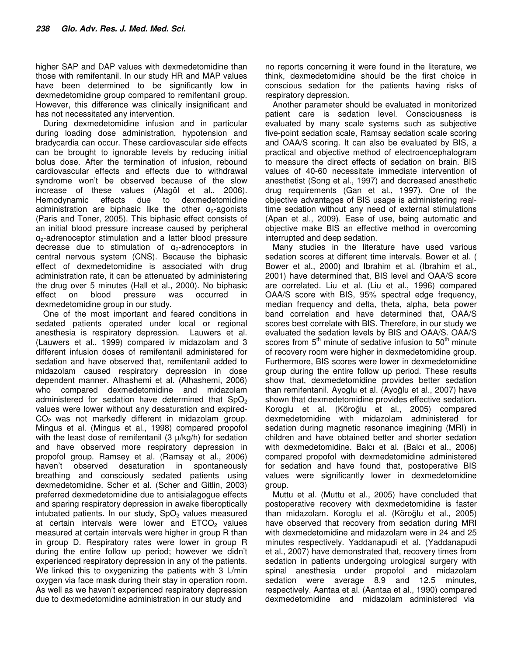higher SAP and DAP values with dexmedetomidine than those with remifentanil. In our study HR and MAP values have been determined to be significantly low in dexmedetomidine group compared to remifentanil group. However, this difference was clinically insignificant and has not necessitated any intervention.

During dexmedetomidine infusion and in particular during loading dose administration, hypotension and bradycardia can occur. These cardiovascular side effects can be brought to ignorable levels by reducing initial bolus dose. After the termination of infusion, rebound cardiovascular effects and effects due to withdrawal syndrome won't be observed because of the slow increase of these values (Alagöl et al., 2006). Hemodynamic effects due to dexmedetomidine administration are biphasic like the other  $\alpha$ -agonists (Paris and Toner, 2005). This biphasic effect consists of an initial blood pressure increase caused by peripheral α2-adrenoceptor stimulation and a latter blood pressure decrease due to stimulation of  $\alpha_2$ -adrenoceptors in central nervous system (CNS). Because the biphasic effect of dexmedetomidine is associated with drug administration rate, it can be attenuated by administering the drug over 5 minutes (Hall et al., 2000). No biphasic effect on blood pressure was occurred in dexmedetomidine group in our study.

One of the most important and feared conditions in sedated patients operated under local or regional anesthesia is respiratory depression.Lauwers et al. (Lauwers et al., 1999) compared iv midazolam and 3 different infusion doses of remifentanil administered for sedation and have observed that, remifentanil added to midazolam caused respiratory depression in dose dependent manner. Alhashemi et al. (Alhashemi, 2006) who compared dexmedetomidine and midazolam administered for sedation have determined that  $SpO<sub>2</sub>$ values were lower without any desaturation and expired- $CO<sub>2</sub>$  was not markedly different in midazolam group. Mingus et al. (Mingus et al., 1998) compared propofol with the least dose of remifentanil  $(3 \mu/kg/h)$  for sedation and have observed more respiratory depression in propofol group. Ramsey et al. (Ramsay et al., 2006) haven't observed desaturation in spontaneously breathing and consciously sedated patients using dexmedetomidine. Scher et al. (Scher and Gitlin, 2003) preferred dexmedetomidine due to antisialagogue effects and sparing respiratory depression in awake fiberoptically intubated patients. In our study,  $SpO<sub>2</sub>$  values measured at certain intervals were lower and  $ETCO<sub>2</sub>$  values measured at certain intervals were higher in group R than in group D. Respiratory rates were lower in group R during the entire follow up period; however we didn't experienced respiratory depression in any of the patients. We linked this to oxygenizing the patients with 3 L/min oxygen via face mask during their stay in operation room. As well as we haven't experienced respiratory depression due to dexmedetomidine administration in our study and

no reports concerning it were found in the literature, we think, dexmedetomidine should be the first choice in conscious sedation for the patients having risks of respiratory depression.

Another parameter should be evaluated in monitorized patient care is sedation level. Consciousness is evaluated by many scale systems such as subjective five-point sedation scale, Ramsay sedation scale scoring and OAA/S scoring. It can also be evaluated by BIS, a practical and objective method of electroencephalogram to measure the direct effects of sedation on brain. BIS values of 40-60 necessitate immediate intervention of anesthetist (Song et al., 1997) and decreased anesthetic drug requirements (Gan et al., 1997). One of the objective advantages of BIS usage is administering realtime sedation without any need of external stimulations (Apan et al., 2009). Ease of use, being automatic and objective make BIS an effective method in overcoming interrupted and deep sedation.

Many studies in the literature have used various sedation scores at different time intervals. Bower et al. ( Bower et al., 2000) and Ibrahim et al. (Ibrahim et al., 2001) have determined that, BIS level and OAA/S score are correlated. Liu et al. (Liu et al., 1996) compared OAA/S score with BIS, 95% spectral edge frequency, median frequency and delta, theta, alpha, beta power band correlation and have determined that, OAA/S scores best correlate with BIS. Therefore, in our study we evaluated the sedation levels by BIS and OAA/S. OAA/S scores from  $5<sup>th</sup>$  minute of sedative infusion to  $50<sup>th</sup>$  minute of recovery room were higher in dexmedetomidine group. Furthermore, BIS scores were lower in dexmedetomidine group during the entire follow up period. These results show that, dexmedetomidine provides better sedation than remifentanil. Ayoglu et al. (Ayoğlu et al., 2007) have shown that dexmedetomidine provides effective sedation. Koroglu et al. (Köroğlu et al., 2005) compared dexmedetomidine with midazolam administered for sedation during magnetic resonance imagining (MRI) in children and have obtained better and shorter sedation with dexmedetomidine. Balcı et al. (Balcı et al., 2006) compared propofol with dexmedetomidine administered for sedation and have found that, postoperative BIS values were significantly lower in dexmedetomidine group.

Muttu et al. (Muttu et al., 2005) have concluded that postoperative recovery with dexmedetomidine is faster than midazolam. Koroglu et al. (Köroğlu et al., 2005) have observed that recovery from sedation during MRI with dexmedetomidine and midazolam were in 24 and 25 minutes respectively. Yaddanapudi et al. (Yaddanapudi et al., 2007) have demonstrated that, recovery times from sedation in patients undergoing urological surgery with spinal anesthesia under propofol and midazolam sedation were average 8.9 and 12.5 minutes, respectively. Aantaa et al. (Aantaa et al., 1990) compared dexmedetomidine and midazolam administered via